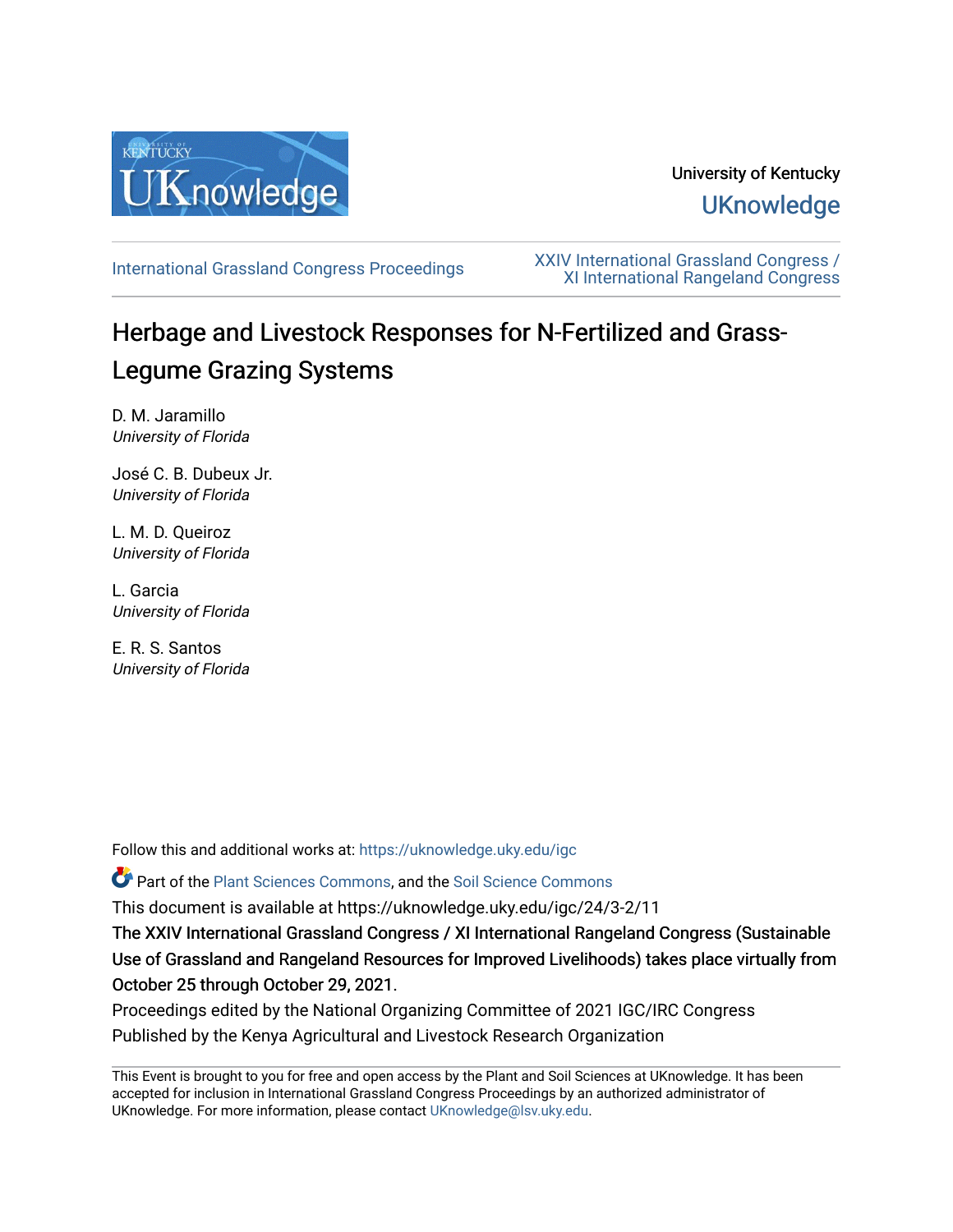

# University of Kentucky **UKnowledge**

[International Grassland Congress Proceedings](https://uknowledge.uky.edu/igc) [XXIV International Grassland Congress /](https://uknowledge.uky.edu/igc/24)  [XI International Rangeland Congress](https://uknowledge.uky.edu/igc/24) 

# Herbage and Livestock Responses for N-Fertilized and Grass-Legume Grazing Systems

D. M. Jaramillo University of Florida

José C. B. Dubeux Jr. University of Florida

L. M. D. Queiroz University of Florida

L. Garcia University of Florida

E. R. S. Santos University of Florida

Follow this and additional works at: [https://uknowledge.uky.edu/igc](https://uknowledge.uky.edu/igc?utm_source=uknowledge.uky.edu%2Figc%2F24%2F3-2%2F11&utm_medium=PDF&utm_campaign=PDFCoverPages) 

Part of the [Plant Sciences Commons](http://network.bepress.com/hgg/discipline/102?utm_source=uknowledge.uky.edu%2Figc%2F24%2F3-2%2F11&utm_medium=PDF&utm_campaign=PDFCoverPages), and the [Soil Science Commons](http://network.bepress.com/hgg/discipline/163?utm_source=uknowledge.uky.edu%2Figc%2F24%2F3-2%2F11&utm_medium=PDF&utm_campaign=PDFCoverPages) 

This document is available at https://uknowledge.uky.edu/igc/24/3-2/11

The XXIV International Grassland Congress / XI International Rangeland Congress (Sustainable Use of Grassland and Rangeland Resources for Improved Livelihoods) takes place virtually from October 25 through October 29, 2021.

Proceedings edited by the National Organizing Committee of 2021 IGC/IRC Congress Published by the Kenya Agricultural and Livestock Research Organization

This Event is brought to you for free and open access by the Plant and Soil Sciences at UKnowledge. It has been accepted for inclusion in International Grassland Congress Proceedings by an authorized administrator of UKnowledge. For more information, please contact [UKnowledge@lsv.uky.edu](mailto:UKnowledge@lsv.uky.edu).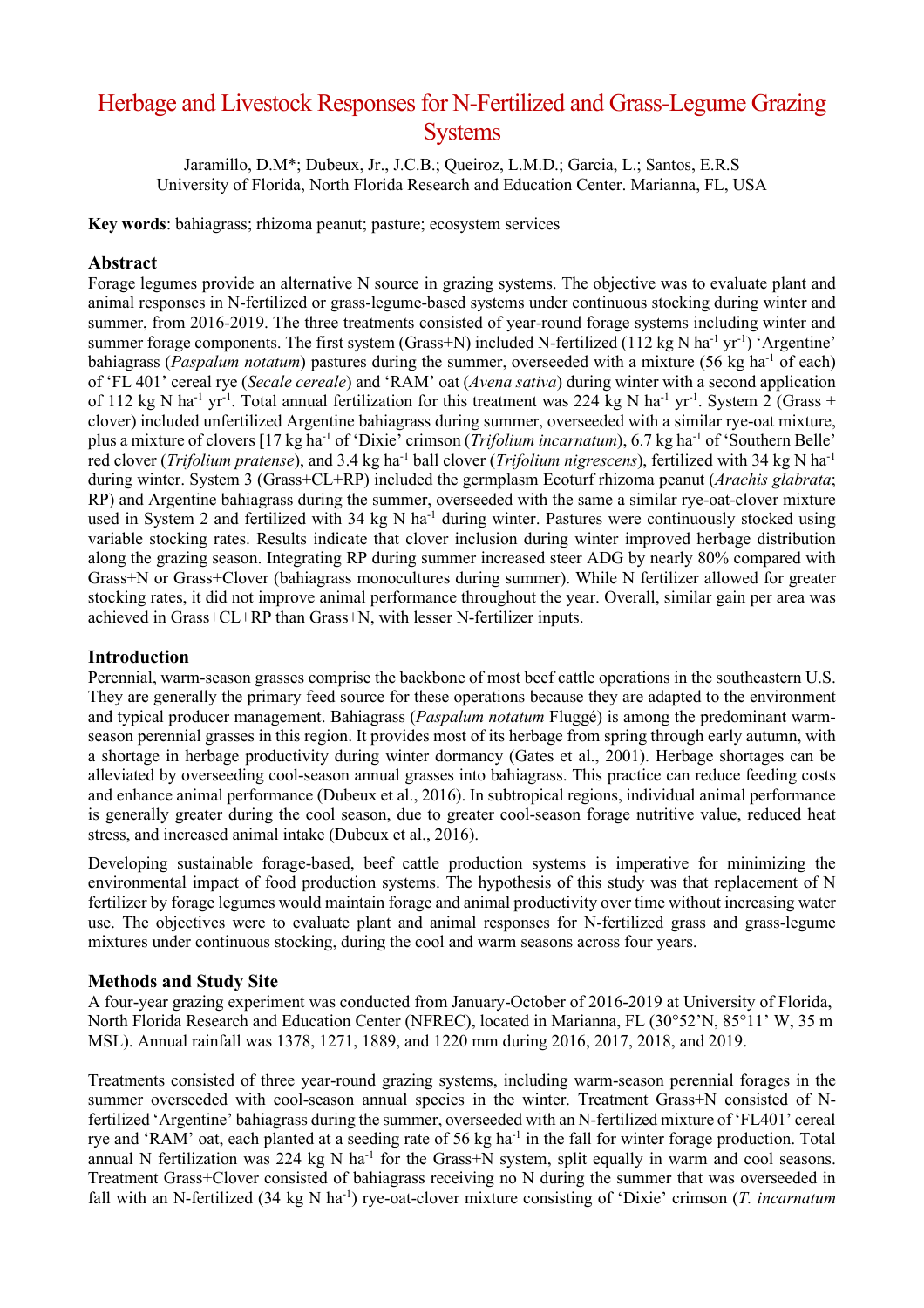# Herbage and Livestock Responses for N-Fertilized and Grass-Legume Grazing **Systems**

Jaramillo, D.M\*; Dubeux, Jr., J.C.B.; Queiroz, L.M.D.; Garcia, L.; Santos, E.R.S University of Florida, North Florida Research and Education Center. Marianna, FL, USA

**Key words**: bahiagrass; rhizoma peanut; pasture; ecosystem services

# **Abstract**

Forage legumes provide an alternative N source in grazing systems. The objective was to evaluate plant and animal responses in N-fertilized or grass-legume-based systems under continuous stocking during winter and summer, from 2016-2019. The three treatments consisted of year-round forage systems including winter and summer forage components. The first system (Grass+N) included N-fertilized (112 kg N ha<sup>-1</sup> yr<sup>-1</sup>) 'Argentine' bahiagrass (*Paspalum notatum*) pastures during the summer, overseeded with a mixture (56 kg ha-1 of each) of 'FL 401' cereal rye (*Secale cereale*) and 'RAM' oat (*Avena sativa*) during winter with a second application of 112 kg N ha<sup>-1</sup> yr<sup>-1</sup>. Total annual fertilization for this treatment was 224 kg N ha<sup>-1</sup> yr<sup>-1</sup>. System 2 (Grass + clover) included unfertilized Argentine bahiagrass during summer, overseeded with a similar rye-oat mixture, plus a mixture of clovers [17 kg ha-1 of 'Dixie' crimson (*Trifolium incarnatum*), 6.7 kg ha-1 of 'Southern Belle' red clover (*Trifolium pratense*), and 3.4 kg ha<sup>-1</sup> ball clover (*Trifolium nigrescens*), fertilized with 34 kg N ha<sup>-1</sup> during winter. System 3 (Grass+CL+RP) included the germplasm Ecoturf rhizoma peanut (*Arachis glabrata*; RP) and Argentine bahiagrass during the summer, overseeded with the same a similar rye-oat-clover mixture used in System 2 and fertilized with 34 kg N ha<sup>-1</sup> during winter. Pastures were continuously stocked using variable stocking rates. Results indicate that clover inclusion during winter improved herbage distribution along the grazing season. Integrating RP during summer increased steer ADG by nearly 80% compared with Grass+N or Grass+Clover (bahiagrass monocultures during summer). While N fertilizer allowed for greater stocking rates, it did not improve animal performance throughout the year. Overall, similar gain per area was achieved in Grass+CL+RP than Grass+N, with lesser N-fertilizer inputs.

## **Introduction**

Perennial, warm-season grasses comprise the backbone of most beef cattle operations in the southeastern U.S. They are generally the primary feed source for these operations because they are adapted to the environment and typical producer management. Bahiagrass (*Paspalum notatum* Fluggé) is among the predominant warmseason perennial grasses in this region. It provides most of its herbage from spring through early autumn, with a shortage in herbage productivity during winter dormancy (Gates et al., 2001). Herbage shortages can be alleviated by overseeding cool-season annual grasses into bahiagrass. This practice can reduce feeding costs and enhance animal performance (Dubeux et al., 2016). In subtropical regions, individual animal performance is generally greater during the cool season, due to greater cool-season forage nutritive value, reduced heat stress, and increased animal intake (Dubeux et al., 2016).

Developing sustainable forage-based, beef cattle production systems is imperative for minimizing the environmental impact of food production systems. The hypothesis of this study was that replacement of N fertilizer by forage legumes would maintain forage and animal productivity over time without increasing water use. The objectives were to evaluate plant and animal responses for N-fertilized grass and grass-legume mixtures under continuous stocking, during the cool and warm seasons across four years.

### **Methods and Study Site**

A four-year grazing experiment was conducted from January-October of 2016-2019 at University of Florida, North Florida Research and Education Center (NFREC), located in Marianna, FL (30°52'N, 85°11' W, 35 m MSL). Annual rainfall was 1378, 1271, 1889, and 1220 mm during 2016, 2017, 2018, and 2019.

Treatments consisted of three year-round grazing systems, including warm-season perennial forages in the summer overseeded with cool-season annual species in the winter. Treatment Grass+N consisted of Nfertilized 'Argentine' bahiagrass during the summer, overseeded with an N-fertilized mixture of 'FL401' cereal rye and 'RAM' oat, each planted at a seeding rate of 56 kg ha<sup>-1</sup> in the fall for winter forage production. Total annual N fertilization was 224 kg N ha<sup>-1</sup> for the Grass+N system, split equally in warm and cool seasons. Treatment Grass+Clover consisted of bahiagrass receiving no N during the summer that was overseeded in fall with an N-fertilized (34 kg N ha<sup>-1</sup>) rye-oat-clover mixture consisting of 'Dixie' crimson (*T. incarnatum*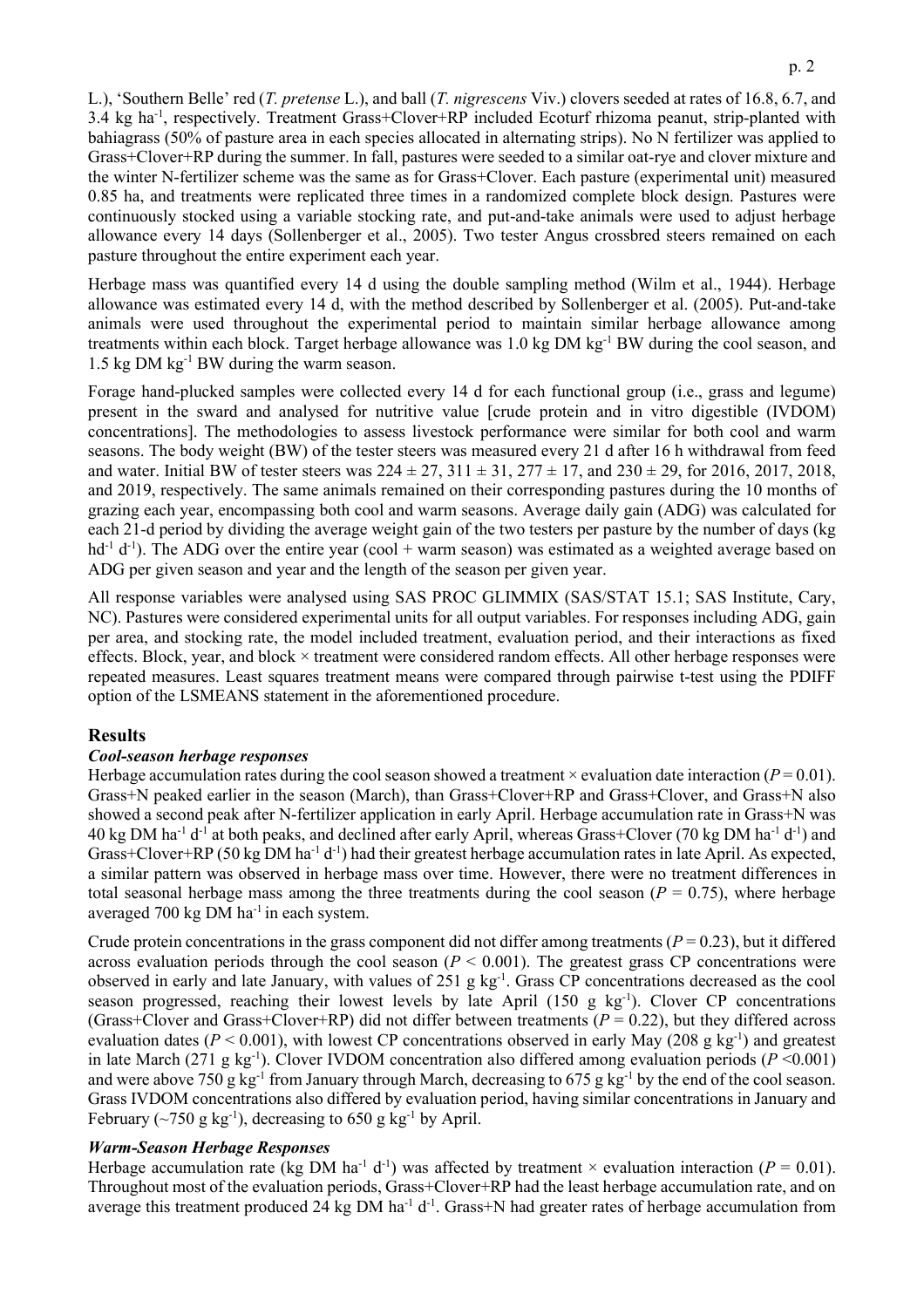L.), 'Southern Belle' red (*T. pretense* L.), and ball (*T. nigrescens* Viv.) clovers seeded at rates of 16.8, 6.7, and 3.4 kg ha-1 , respectively. Treatment Grass+Clover+RP included Ecoturf rhizoma peanut, strip-planted with bahiagrass (50% of pasture area in each species allocated in alternating strips). No N fertilizer was applied to Grass+Clover+RP during the summer. In fall, pastures were seeded to a similar oat-rye and clover mixture and the winter N-fertilizer scheme was the same as for Grass+Clover. Each pasture (experimental unit) measured 0.85 ha, and treatments were replicated three times in a randomized complete block design. Pastures were continuously stocked using a variable stocking rate, and put-and-take animals were used to adjust herbage allowance every 14 days (Sollenberger et al., 2005). Two tester Angus crossbred steers remained on each pasture throughout the entire experiment each year.

Herbage mass was quantified every 14 d using the double sampling method (Wilm et al., 1944). Herbage allowance was estimated every 14 d, with the method described by Sollenberger et al. (2005). Put-and-take animals were used throughout the experimental period to maintain similar herbage allowance among treatments within each block. Target herbage allowance was 1.0 kg DM kg-1 BW during the cool season, and 1.5 kg DM  $kg^{-1}$  BW during the warm season.

Forage hand-plucked samples were collected every 14 d for each functional group (i.e., grass and legume) present in the sward and analysed for nutritive value [crude protein and in vitro digestible (IVDOM) concentrations]. The methodologies to assess livestock performance were similar for both cool and warm seasons. The body weight (BW) of the tester steers was measured every 21 d after 16 h withdrawal from feed and water. Initial BW of tester steers was  $224 \pm 27$ ,  $311 \pm 31$ ,  $277 \pm 17$ , and  $230 \pm 29$ , for 2016, 2017, 2018, and 2019, respectively. The same animals remained on their corresponding pastures during the 10 months of grazing each year, encompassing both cool and warm seasons. Average daily gain (ADG) was calculated for each 21-d period by dividing the average weight gain of the two testers per pasture by the number of days (kg  $hd<sup>-1</sup> d<sup>-1</sup>$ ). The ADG over the entire year (cool + warm season) was estimated as a weighted average based on ADG per given season and year and the length of the season per given year.

All response variables were analysed using SAS PROC GLIMMIX (SAS/STAT 15.1; SAS Institute, Cary, NC). Pastures were considered experimental units for all output variables. For responses including ADG, gain per area, and stocking rate, the model included treatment, evaluation period, and their interactions as fixed effects. Block, year, and block × treatment were considered random effects. All other herbage responses were repeated measures. Least squares treatment means were compared through pairwise t-test using the PDIFF option of the LSMEANS statement in the aforementioned procedure.

# **Results**

### *Cool-season herbage responses*

Herbage accumulation rates during the cool season showed a treatment  $\times$  evaluation date interaction ( $P = 0.01$ ). Grass+N peaked earlier in the season (March), than Grass+Clover+RP and Grass+Clover, and Grass+N also showed a second peak after N-fertilizer application in early April. Herbage accumulation rate in Grass+N was  $40 \text{ kg}$  DM ha<sup>-1</sup> d<sup>-1</sup> at both peaks, and declined after early April, whereas Grass+Clover (70 kg DM ha<sup>-1</sup> d<sup>-1</sup>) and Grass+Clover+RP (50 kg DM ha<sup>-1</sup> d<sup>-1</sup>) had their greatest herbage accumulation rates in late April. As expected, a similar pattern was observed in herbage mass over time. However, there were no treatment differences in total seasonal herbage mass among the three treatments during the cool season  $(P = 0.75)$ , where herbage averaged 700 kg DM ha-1 in each system.

Crude protein concentrations in the grass component did not differ among treatments  $(P = 0.23)$ , but it differed across evaluation periods through the cool season ( $P < 0.001$ ). The greatest grass CP concentrations were observed in early and late January, with values of 251 g kg<sup>-1</sup>. Grass CP concentrations decreased as the cool season progressed, reaching their lowest levels by late April (150 g kg<sup>-1</sup>). Clover CP concentrations (Grass+Clover and Grass+Clover+RP) did not differ between treatments ( $P = 0.22$ ), but they differed across evaluation dates ( $P < 0.001$ ), with lowest CP concentrations observed in early May (208 g kg<sup>-1</sup>) and greatest in late March  $(271 \text{ g kg}^{-1})$ . Clover IVDOM concentration also differed among evaluation periods  $(P \le 0.001)$ and were above 750 g kg-1 from January through March, decreasing to 675 g kg-1 by the end of the cool season. Grass IVDOM concentrations also differed by evaluation period, having similar concentrations in January and February ( $\sim$ 750 g kg<sup>-1</sup>), decreasing to 650 g kg<sup>-1</sup> by April.

#### *Warm-Season Herbage Responses*

Herbage accumulation rate (kg DM ha<sup>-1</sup> d<sup>-1</sup>) was affected by treatment  $\times$  evaluation interaction ( $P = 0.01$ ). Throughout most of the evaluation periods, Grass+Clover+RP had the least herbage accumulation rate, and on average this treatment produced 24 kg DM ha<sup>-1</sup>  $d^{-1}$ . Grass+N had greater rates of herbage accumulation from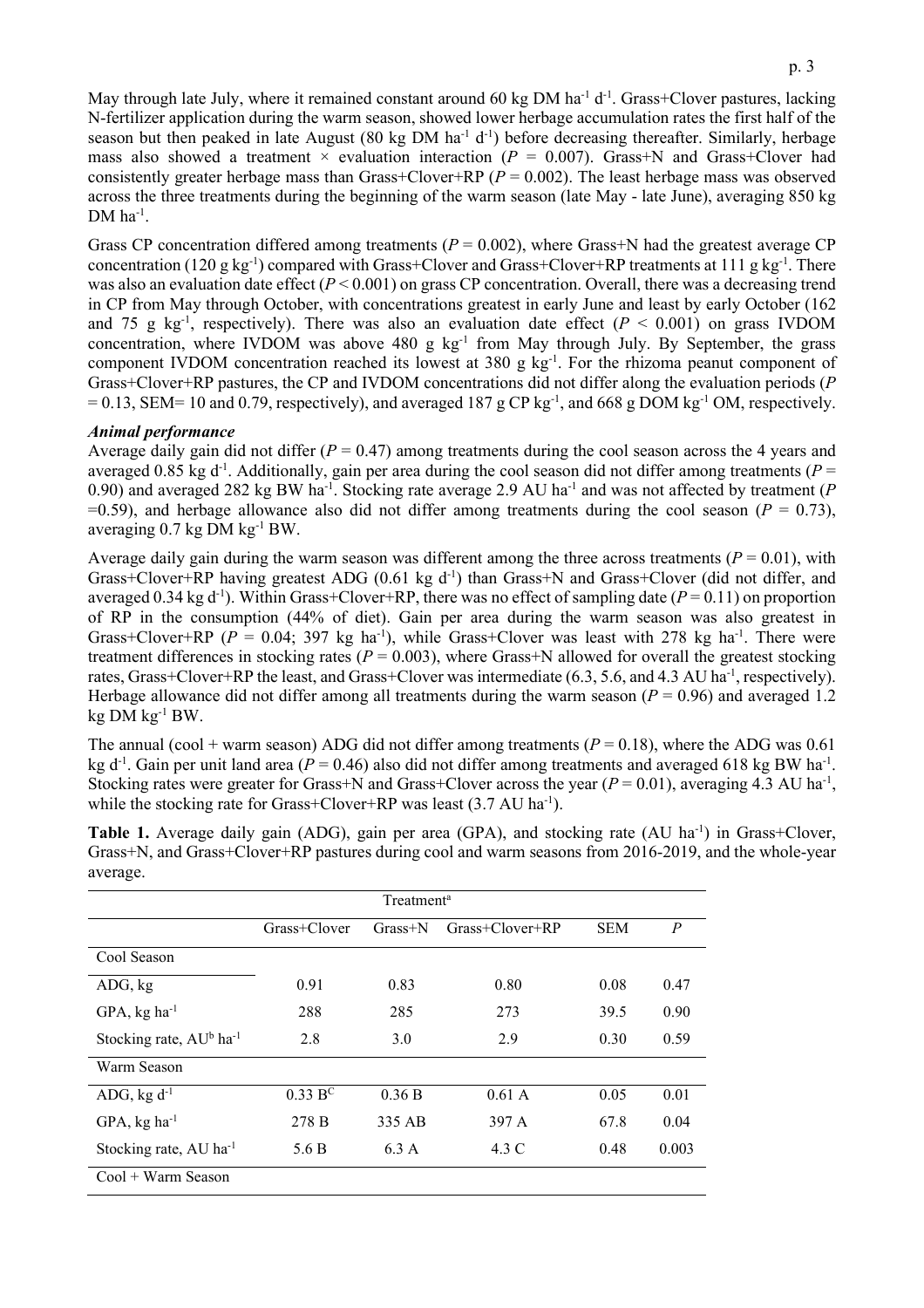May through late July, where it remained constant around 60 kg DM ha<sup>-1</sup> d<sup>-1</sup>. Grass+Clover pastures, lacking N-fertilizer application during the warm season, showed lower herbage accumulation rates the first half of the season but then peaked in late August (80 kg DM  $ha^{-1}$  d<sup>-1</sup>) before decreasing thereafter. Similarly, herbage mass also showed a treatment  $\times$  evaluation interaction ( $P = 0.007$ ). Grass+N and Grass+Clover had consistently greater herbage mass than Grass+Clover+RP (*P* = 0.002). The least herbage mass was observed across the three treatments during the beginning of the warm season (late May - late June), averaging 850 kg  $DM$  ha<sup>-1</sup>.

Grass CP concentration differed among treatments ( $P = 0.002$ ), where Grass+N had the greatest average CP concentration (120  $g kg^{-1}$ ) compared with Grass+Clover and Grass+Clover+RP treatments at 111  $g kg^{-1}$ . There was also an evaluation date effect ( $P < 0.001$ ) on grass CP concentration. Overall, there was a decreasing trend in CP from May through October, with concentrations greatest in early June and least by early October (162 and 75 g  $kg^{-1}$ , respectively). There was also an evaluation date effect ( $P < 0.001$ ) on grass IVDOM concentration, where IVDOM was above 480 g kg<sup>-1</sup> from May through July. By September, the grass component IVDOM concentration reached its lowest at  $380 \text{ g kg}^{-1}$ . For the rhizoma peanut component of Grass+Clover+RP pastures, the CP and IVDOM concentrations did not differ along the evaluation periods (*P*  $= 0.13$ , SEM= 10 and 0.79, respectively), and averaged 187 g CP kg<sup>-1</sup>, and 668 g DOM kg<sup>-1</sup> OM, respectively.

#### *Animal performance*

Average daily gain did not differ  $(P = 0.47)$  among treatments during the cool season across the 4 years and averaged  $0.85$  kg d<sup>-1</sup>. Additionally, gain per area during the cool season did not differ among treatments ( $P =$ 0.90) and averaged 282 kg BW ha-1 . Stocking rate average 2.9 AU ha-1 and was not affected by treatment (*P*  $=0.59$ ), and herbage allowance also did not differ among treatments during the cool season ( $P = 0.73$ ), averaging 0.7 kg DM kg-1 BW.

Average daily gain during the warm season was different among the three across treatments ( $P = 0.01$ ), with Grass+Clover+RP having greatest ADG (0.61 kg d<sup>-1</sup>) than Grass+N and Grass+Clover (did not differ, and averaged  $0.34$  kg d<sup>-1</sup>). Within Grass+Clover+RP, there was no effect of sampling date ( $P = 0.11$ ) on proportion of RP in the consumption (44% of diet). Gain per area during the warm season was also greatest in Grass+Clover+RP ( $P = 0.04$ ; 397 kg ha<sup>-1</sup>), while Grass+Clover was least with 278 kg ha<sup>-1</sup>. There were treatment differences in stocking rates  $(P = 0.003)$ , where Grass+N allowed for overall the greatest stocking rates, Grass+Clover+RP the least, and Grass+Clover was intermediate (6.3, 5.6, and 4.3 AU ha<sup>-1</sup>, respectively). Herbage allowance did not differ among all treatments during the warm season  $(P = 0.96)$  and averaged 1.2 kg  $DM$  kg<sup>-1</sup> BW.

The annual (cool + warm season) ADG did not differ among treatments  $(P = 0.18)$ , where the ADG was 0.61 kg d<sup>-1</sup>. Gain per unit land area ( $P = 0.46$ ) also did not differ among treatments and averaged 618 kg BW ha<sup>-1</sup>. Stocking rates were greater for Grass+N and Grass+Clover across the year  $(P = 0.01)$ , averaging 4.3 AU ha<sup>-1</sup>, while the stocking rate for Grass+Clover+RP was least (3.7 AU ha<sup>-1</sup>).

| Treatment <sup>a</sup>                          |                               |           |                       |            |                |  |  |  |
|-------------------------------------------------|-------------------------------|-----------|-----------------------|------------|----------------|--|--|--|
|                                                 | Grass+Clover                  | $Grass+N$ | $Grass + Clover + RP$ | <b>SEM</b> | $\overline{P}$ |  |  |  |
| Cool Season                                     |                               |           |                       |            |                |  |  |  |
| ADG, kg                                         | 0.91                          | 0.83      | 0.80                  | 0.08       | 0.47           |  |  |  |
| $GPA$ , kg ha <sup>-1</sup>                     | 288                           | 285       | 273                   | 39.5       | 0.90           |  |  |  |
| Stocking rate, AU <sup>b</sup> ha <sup>-1</sup> | 2.8                           | 3.0       | 2.9                   | 0.30       | 0.59           |  |  |  |
| Warm Season                                     |                               |           |                       |            |                |  |  |  |
| ADG, $kg d^{-1}$                                | $0.33\,\mathrm{B}^\mathrm{C}$ | 0.36 B    | 0.61A                 | 0.05       | 0.01           |  |  |  |
| $GPA$ , kg ha <sup>-1</sup>                     | 278 B                         | 335 AB    | 397 A                 | 67.8       | 0.04           |  |  |  |
| Stocking rate, AU ha <sup>-1</sup>              | 5.6 B                         | 6.3 A     | 4.3 C                 | 0.48       | 0.003          |  |  |  |
| $Cool + Warm$ Season                            |                               |           |                       |            |                |  |  |  |

Table 1. Average daily gain (ADG), gain per area (GPA), and stocking rate (AU ha<sup>-1</sup>) in Grass+Clover, Grass+N, and Grass+Clover+RP pastures during cool and warm seasons from 2016-2019, and the whole-year average.